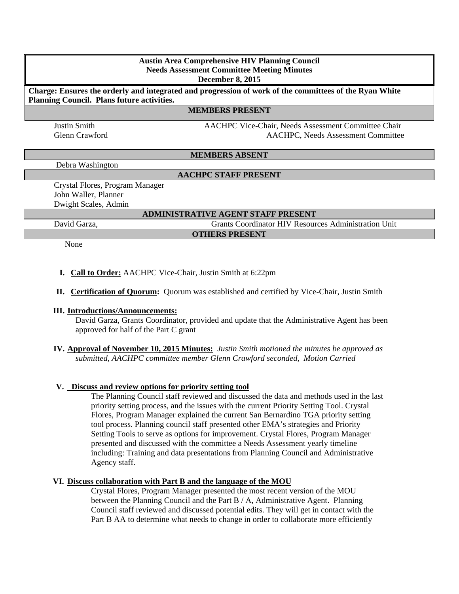# **Austin Area Comprehensive HIV Planning Council Needs Assessment Committee Meeting Minutes**

**December 8, 2015** 

**Charge: Ensures the orderly and integrated and progression of work of the committees of the Ryan White Planning Council. Plans future activities.**

#### **MEMBERS PRESENT**

Justin Smith AACHPC Vice-Chair, Needs Assessment Committee Chair Glenn Crawford AACHPC, Needs Assessment Committee

**MEMBERS ABSENT**

Debra Washington

#### **AACHPC STAFF PRESENT**

Crystal Flores, Program Manager John Waller, Planner Dwight Scales, Admin

#### **ADMINISTRATIVE AGENT STAFF PRESENT**

David Garza, Grants Coordinator HIV Resources Administration Unit **OTHERS PRESENT** 

None

### **I. Call to Order:** AACHPC Vice-Chair, Justin Smith at 6:22pm

**II. Certification of Quorum:** Quorum was established and certified by Vice-Chair, Justin Smith

#### **III. Introductions/Announcements:**

David Garza, Grants Coordinator, provided and update that the Administrative Agent has been approved for half of the Part C grant

**IV. Approval of November 10, 2015 Minutes:** *Justin Smith motioned the minutes be approved as submitted, AACHPC committee member Glenn Crawford seconded, Motion Carried*

#### **V. Discuss and review options for priority setting tool**

The Planning Council staff reviewed and discussed the data and methods used in the last priority setting process, and the issues with the current Priority Setting Tool. Crystal Flores, Program Manager explained the current San Bernardino TGA priority setting tool process. Planning council staff presented other EMA's strategies and Priority Setting Tools to serve as options for improvement. Crystal Flores, Program Manager presented and discussed with the committee a Needs Assessment yearly timeline including: Training and data presentations from Planning Council and Administrative Agency staff.

#### **VI. Discuss collaboration with Part B and the language of the MOU**

Crystal Flores, Program Manager presented the most recent version of the MOU between the Planning Council and the Part B / A, Administrative Agent. Planning Council staff reviewed and discussed potential edits. They will get in contact with the Part B AA to determine what needs to change in order to collaborate more efficiently